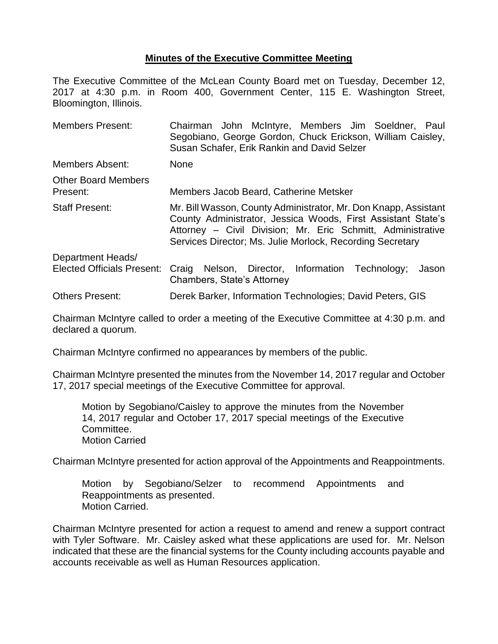## **Minutes of the Executive Committee Meeting**

The Executive Committee of the McLean County Board met on Tuesday, December 12, 2017 at 4:30 p.m. in Room 400, Government Center, 115 E. Washington Street, Bloomington, Illinois.

| <b>Members Present:</b>                | Chairman John McIntyre, Members Jim Soeldner, Paul<br>Segobiano, George Gordon, Chuck Erickson, William Caisley,<br>Susan Schafer, Erik Rankin and David Selzer                                                                                             |  |  |  |
|----------------------------------------|-------------------------------------------------------------------------------------------------------------------------------------------------------------------------------------------------------------------------------------------------------------|--|--|--|
| <b>Members Absent:</b>                 | <b>None</b>                                                                                                                                                                                                                                                 |  |  |  |
| <b>Other Board Members</b><br>Present: | Members Jacob Beard, Catherine Metsker                                                                                                                                                                                                                      |  |  |  |
| <b>Staff Present:</b>                  | Mr. Bill Wasson, County Administrator, Mr. Don Knapp, Assistant<br>County Administrator, Jessica Woods, First Assistant State's<br>Attorney - Civil Division; Mr. Eric Schmitt, Administrative<br>Services Director; Ms. Julie Morlock, Recording Secretary |  |  |  |
| Department Heads/                      |                                                                                                                                                                                                                                                             |  |  |  |
| <b>Elected Officials Present:</b>      | Nelson, Director, Information Technology;<br>Craig<br>Jason<br>Chambers, State's Attorney                                                                                                                                                                   |  |  |  |
| <b>Others Present:</b>                 | Derek Barker, Information Technologies; David Peters, GIS                                                                                                                                                                                                   |  |  |  |

Chairman McIntyre called to order a meeting of the Executive Committee at 4:30 p.m. and declared a quorum.

Chairman McIntyre confirmed no appearances by members of the public.

Chairman McIntyre presented the minutes from the November 14, 2017 regular and October 17, 2017 special meetings of the Executive Committee for approval.

Motion by Segobiano/Caisley to approve the minutes from the November 14, 2017 regular and October 17, 2017 special meetings of the Executive Committee. Motion Carried

Chairman McIntyre presented for action approval of the Appointments and Reappointments.

Motion by Segobiano/Selzer to recommend Appointments and Reappointments as presented. Motion Carried.

Chairman McIntyre presented for action a request to amend and renew a support contract with Tyler Software. Mr. Caisley asked what these applications are used for. Mr. Nelson indicated that these are the financial systems for the County including accounts payable and accounts receivable as well as Human Resources application.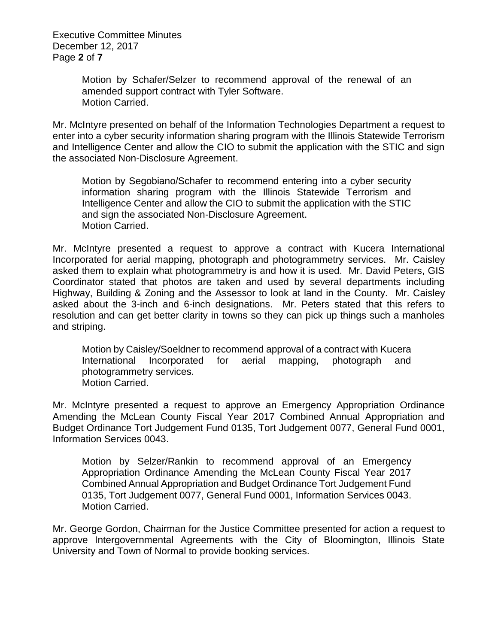Executive Committee Minutes December 12, 2017 Page **2** of **7**

> Motion by Schafer/Selzer to recommend approval of the renewal of an amended support contract with Tyler Software. Motion Carried.

Mr. McIntyre presented on behalf of the Information Technologies Department a request to enter into a cyber security information sharing program with the Illinois Statewide Terrorism and Intelligence Center and allow the CIO to submit the application with the STIC and sign the associated Non-Disclosure Agreement.

Motion by Segobiano/Schafer to recommend entering into a cyber security information sharing program with the Illinois Statewide Terrorism and Intelligence Center and allow the CIO to submit the application with the STIC and sign the associated Non-Disclosure Agreement. Motion Carried.

Mr. McIntyre presented a request to approve a contract with Kucera International Incorporated for aerial mapping, photograph and photogrammetry services. Mr. Caisley asked them to explain what photogrammetry is and how it is used. Mr. David Peters, GIS Coordinator stated that photos are taken and used by several departments including Highway, Building & Zoning and the Assessor to look at land in the County. Mr. Caisley asked about the 3-inch and 6-inch designations. Mr. Peters stated that this refers to resolution and can get better clarity in towns so they can pick up things such a manholes and striping.

Motion by Caisley/Soeldner to recommend approval of a contract with Kucera International Incorporated for aerial mapping, photograph and photogrammetry services. Motion Carried.

Mr. McIntyre presented a request to approve an Emergency Appropriation Ordinance Amending the McLean County Fiscal Year 2017 Combined Annual Appropriation and Budget Ordinance Tort Judgement Fund 0135, Tort Judgement 0077, General Fund 0001, Information Services 0043.

Motion by Selzer/Rankin to recommend approval of an Emergency Appropriation Ordinance Amending the McLean County Fiscal Year 2017 Combined Annual Appropriation and Budget Ordinance Tort Judgement Fund 0135, Tort Judgement 0077, General Fund 0001, Information Services 0043. Motion Carried.

Mr. George Gordon, Chairman for the Justice Committee presented for action a request to approve Intergovernmental Agreements with the City of Bloomington, Illinois State University and Town of Normal to provide booking services.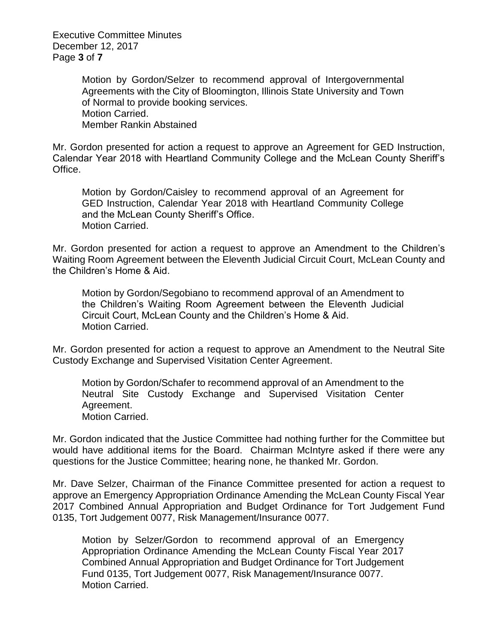Executive Committee Minutes December 12, 2017 Page **3** of **7**

> Motion by Gordon/Selzer to recommend approval of Intergovernmental Agreements with the City of Bloomington, Illinois State University and Town of Normal to provide booking services. Motion Carried. Member Rankin Abstained

Mr. Gordon presented for action a request to approve an Agreement for GED Instruction, Calendar Year 2018 with Heartland Community College and the McLean County Sheriff's Office.

Motion by Gordon/Caisley to recommend approval of an Agreement for GED Instruction, Calendar Year 2018 with Heartland Community College and the McLean County Sheriff's Office. Motion Carried.

Mr. Gordon presented for action a request to approve an Amendment to the Children's Waiting Room Agreement between the Eleventh Judicial Circuit Court, McLean County and the Children's Home & Aid.

Motion by Gordon/Segobiano to recommend approval of an Amendment to the Children's Waiting Room Agreement between the Eleventh Judicial Circuit Court, McLean County and the Children's Home & Aid. Motion Carried.

Mr. Gordon presented for action a request to approve an Amendment to the Neutral Site Custody Exchange and Supervised Visitation Center Agreement.

Motion by Gordon/Schafer to recommend approval of an Amendment to the Neutral Site Custody Exchange and Supervised Visitation Center Agreement. Motion Carried.

Mr. Gordon indicated that the Justice Committee had nothing further for the Committee but would have additional items for the Board. Chairman McIntyre asked if there were any questions for the Justice Committee; hearing none, he thanked Mr. Gordon.

Mr. Dave Selzer, Chairman of the Finance Committee presented for action a request to approve an Emergency Appropriation Ordinance Amending the McLean County Fiscal Year 2017 Combined Annual Appropriation and Budget Ordinance for Tort Judgement Fund 0135, Tort Judgement 0077, Risk Management/Insurance 0077.

Motion by Selzer/Gordon to recommend approval of an Emergency Appropriation Ordinance Amending the McLean County Fiscal Year 2017 Combined Annual Appropriation and Budget Ordinance for Tort Judgement Fund 0135, Tort Judgement 0077, Risk Management/Insurance 0077. Motion Carried.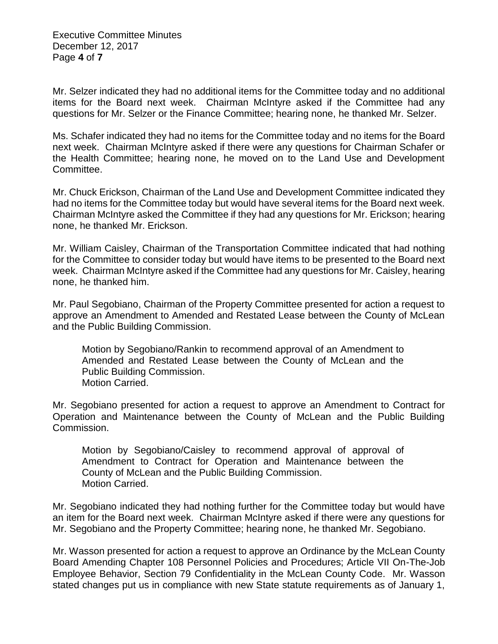Executive Committee Minutes December 12, 2017 Page **4** of **7**

Mr. Selzer indicated they had no additional items for the Committee today and no additional items for the Board next week. Chairman McIntyre asked if the Committee had any questions for Mr. Selzer or the Finance Committee; hearing none, he thanked Mr. Selzer.

Ms. Schafer indicated they had no items for the Committee today and no items for the Board next week. Chairman McIntyre asked if there were any questions for Chairman Schafer or the Health Committee; hearing none, he moved on to the Land Use and Development Committee.

Mr. Chuck Erickson, Chairman of the Land Use and Development Committee indicated they had no items for the Committee today but would have several items for the Board next week. Chairman McIntyre asked the Committee if they had any questions for Mr. Erickson; hearing none, he thanked Mr. Erickson.

Mr. William Caisley, Chairman of the Transportation Committee indicated that had nothing for the Committee to consider today but would have items to be presented to the Board next week. Chairman McIntyre asked if the Committee had any questions for Mr. Caisley, hearing none, he thanked him.

Mr. Paul Segobiano, Chairman of the Property Committee presented for action a request to approve an Amendment to Amended and Restated Lease between the County of McLean and the Public Building Commission.

Motion by Segobiano/Rankin to recommend approval of an Amendment to Amended and Restated Lease between the County of McLean and the Public Building Commission. Motion Carried.

Mr. Segobiano presented for action a request to approve an Amendment to Contract for Operation and Maintenance between the County of McLean and the Public Building Commission.

Motion by Segobiano/Caisley to recommend approval of approval of Amendment to Contract for Operation and Maintenance between the County of McLean and the Public Building Commission. Motion Carried.

Mr. Segobiano indicated they had nothing further for the Committee today but would have an item for the Board next week. Chairman McIntyre asked if there were any questions for Mr. Segobiano and the Property Committee; hearing none, he thanked Mr. Segobiano.

Mr. Wasson presented for action a request to approve an Ordinance by the McLean County Board Amending Chapter 108 Personnel Policies and Procedures; Article VII On-The-Job Employee Behavior, Section 79 Confidentiality in the McLean County Code. Mr. Wasson stated changes put us in compliance with new State statute requirements as of January 1,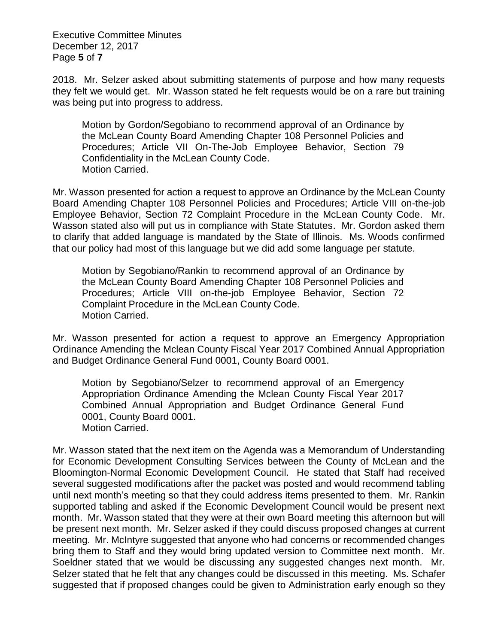Executive Committee Minutes December 12, 2017 Page **5** of **7**

2018. Mr. Selzer asked about submitting statements of purpose and how many requests they felt we would get. Mr. Wasson stated he felt requests would be on a rare but training was being put into progress to address.

Motion by Gordon/Segobiano to recommend approval of an Ordinance by the McLean County Board Amending Chapter 108 Personnel Policies and Procedures; Article VII On-The-Job Employee Behavior, Section 79 Confidentiality in the McLean County Code. Motion Carried.

Mr. Wasson presented for action a request to approve an Ordinance by the McLean County Board Amending Chapter 108 Personnel Policies and Procedures; Article VIII on-the-job Employee Behavior, Section 72 Complaint Procedure in the McLean County Code. Mr. Wasson stated also will put us in compliance with State Statutes. Mr. Gordon asked them to clarify that added language is mandated by the State of Illinois. Ms. Woods confirmed that our policy had most of this language but we did add some language per statute.

Motion by Segobiano/Rankin to recommend approval of an Ordinance by the McLean County Board Amending Chapter 108 Personnel Policies and Procedures; Article VIII on-the-job Employee Behavior, Section 72 Complaint Procedure in the McLean County Code. Motion Carried.

Mr. Wasson presented for action a request to approve an Emergency Appropriation Ordinance Amending the Mclean County Fiscal Year 2017 Combined Annual Appropriation and Budget Ordinance General Fund 0001, County Board 0001.

Motion by Segobiano/Selzer to recommend approval of an Emergency Appropriation Ordinance Amending the Mclean County Fiscal Year 2017 Combined Annual Appropriation and Budget Ordinance General Fund 0001, County Board 0001. Motion Carried.

Mr. Wasson stated that the next item on the Agenda was a Memorandum of Understanding for Economic Development Consulting Services between the County of McLean and the Bloomington-Normal Economic Development Council. He stated that Staff had received several suggested modifications after the packet was posted and would recommend tabling until next month's meeting so that they could address items presented to them. Mr. Rankin supported tabling and asked if the Economic Development Council would be present next month. Mr. Wasson stated that they were at their own Board meeting this afternoon but will be present next month. Mr. Selzer asked if they could discuss proposed changes at current meeting. Mr. McIntyre suggested that anyone who had concerns or recommended changes bring them to Staff and they would bring updated version to Committee next month. Mr. Soeldner stated that we would be discussing any suggested changes next month. Mr. Selzer stated that he felt that any changes could be discussed in this meeting. Ms. Schafer suggested that if proposed changes could be given to Administration early enough so they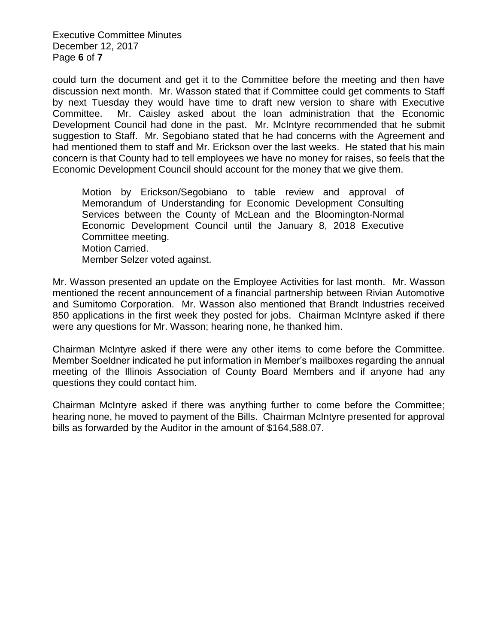Executive Committee Minutes December 12, 2017 Page **6** of **7**

could turn the document and get it to the Committee before the meeting and then have discussion next month. Mr. Wasson stated that if Committee could get comments to Staff by next Tuesday they would have time to draft new version to share with Executive Committee. Mr. Caisley asked about the loan administration that the Economic Development Council had done in the past. Mr. McIntyre recommended that he submit suggestion to Staff. Mr. Segobiano stated that he had concerns with the Agreement and had mentioned them to staff and Mr. Erickson over the last weeks. He stated that his main concern is that County had to tell employees we have no money for raises, so feels that the Economic Development Council should account for the money that we give them.

Motion by Erickson/Segobiano to table review and approval of Memorandum of Understanding for Economic Development Consulting Services between the County of McLean and the Bloomington-Normal Economic Development Council until the January 8, 2018 Executive Committee meeting. Motion Carried.

Member Selzer voted against.

Mr. Wasson presented an update on the Employee Activities for last month. Mr. Wasson mentioned the recent announcement of a financial partnership between Rivian Automotive and Sumitomo Corporation. Mr. Wasson also mentioned that Brandt Industries received 850 applications in the first week they posted for jobs. Chairman McIntyre asked if there were any questions for Mr. Wasson; hearing none, he thanked him.

Chairman McIntyre asked if there were any other items to come before the Committee. Member Soeldner indicated he put information in Member's mailboxes regarding the annual meeting of the Illinois Association of County Board Members and if anyone had any questions they could contact him.

Chairman McIntyre asked if there was anything further to come before the Committee; hearing none, he moved to payment of the Bills. Chairman McIntyre presented for approval bills as forwarded by the Auditor in the amount of \$164,588.07.